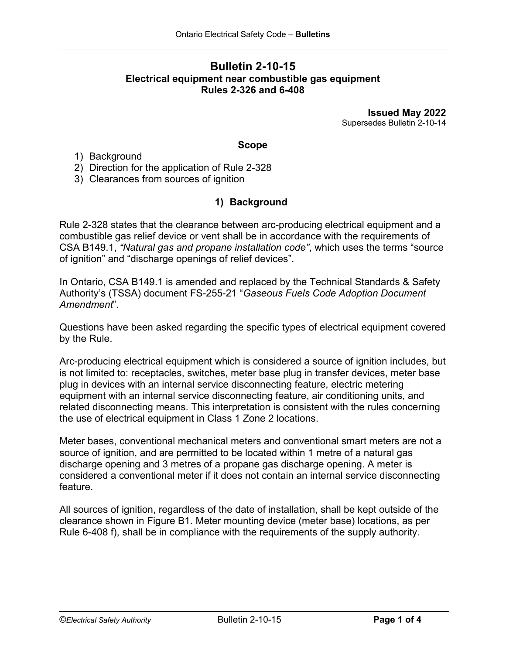### **Bulletin 2-10-15 Electrical equipment near combustible gas equipment Rules 2-326 and 6-408**

**Issued May 2022** Supersedes Bulletin 2-10-14

#### **Scope**

- 1) Background
- 2) Direction for the application of Rule 2-328
- 3) Clearances from sources of ignition

# **1) Background**

Rule 2-328 states that the clearance between arc-producing electrical equipment and a combustible gas relief device or vent shall be in accordance with the requirements of CSA B149.1, *"Natural gas and propane installation code"*, which uses the terms "source of ignition" and "discharge openings of relief devices".

In Ontario, CSA B149.1 is amended and replaced by the Technical Standards & Safety Authority's (TSSA) document FS-255-21 "*Gaseous Fuels Code Adoption Document Amendment*".

Questions have been asked regarding the specific types of electrical equipment covered by the Rule.

Arc-producing electrical equipment which is considered a source of ignition includes, but is not limited to: receptacles, switches, meter base plug in transfer devices, meter base plug in devices with an internal service disconnecting feature, electric metering equipment with an internal service disconnecting feature, air conditioning units, and related disconnecting means. This interpretation is consistent with the rules concerning the use of electrical equipment in Class 1 Zone 2 locations.

Meter bases, conventional mechanical meters and conventional smart meters are not a source of ignition, and are permitted to be located within 1 metre of a natural gas discharge opening and 3 metres of a propane gas discharge opening. A meter is considered a conventional meter if it does not contain an internal service disconnecting feature.

All sources of ignition, regardless of the date of installation, shall be kept outside of the clearance shown in Figure B1. Meter mounting device (meter base) locations, as per Rule 6-408 f), shall be in compliance with the requirements of the supply authority.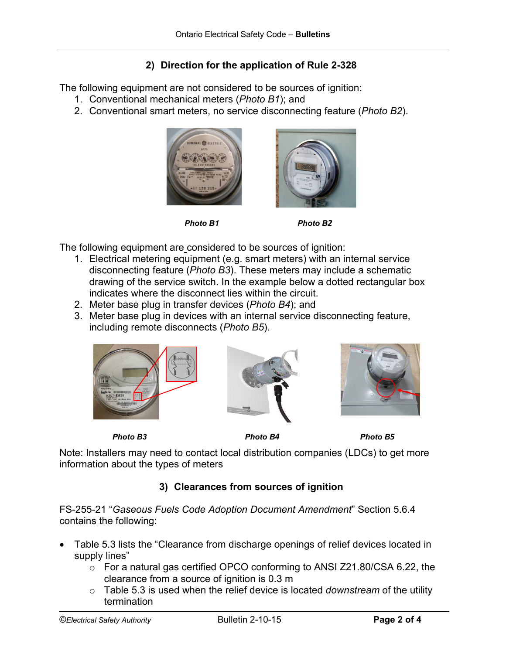# **2) Direction for the application of Rule 2-328**

The following equipment are not considered to be sources of ignition:

- 1. Conventional mechanical meters (*Photo B1*); and
- 2. Conventional smart meters, no service disconnecting feature (*Photo B2*).



*Photo B1 Photo B2*



The following equipment are considered to be sources of ignition:

- 1. Electrical metering equipment (e.g. smart meters) with an internal service disconnecting feature (*Photo B3*). These meters may include a schematic drawing of the service switch. In the example below a dotted rectangular box indicates where the disconnect lies within the circuit.
- 2. Meter base plug in transfer devices (*Photo B4*); and
- 3. Meter base plug in devices with an internal service disconnecting feature, including remote disconnects (*Photo B5*).







 *Photo B3 Photo B4 Photo B5* 

Note: Installers may need to contact local distribution companies (LDCs) to get more information about the types of meters

# **3) Clearances from sources of ignition**

FS-255-21 "*Gaseous Fuels Code Adoption Document Amendment*" Section 5.6.4 contains the following:

- Table 5.3 lists the "Clearance from discharge openings of relief devices located in supply lines"
	- o For a natural gas certified OPCO conforming to ANSI Z21.80/CSA 6.22, the clearance from a source of ignition is 0.3 m
	- o Table 5.3 is used when the relief device is located *downstream* of the utility termination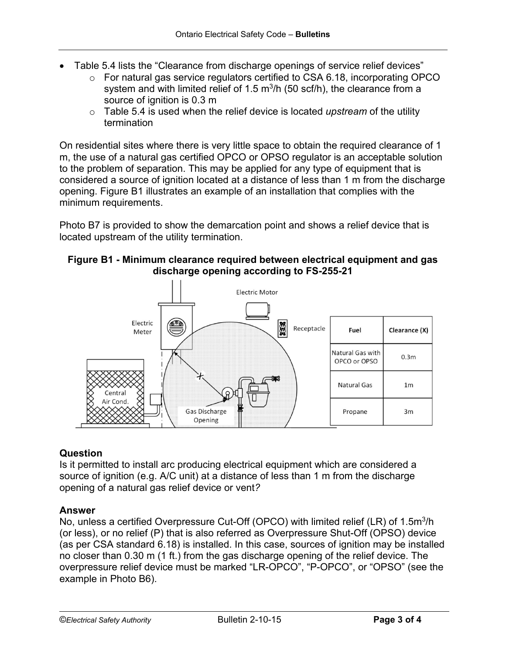- Table 5.4 lists the "Clearance from discharge openings of service relief devices"
	- o For natural gas service regulators certified to CSA 6.18, incorporating OPCO system and with limited relief of 1.5  $m^3/h$  (50 scf/h), the clearance from a source of ignition is 0.3 m
	- o Table 5.4 is used when the relief device is located *upstream* of the utility termination

On residential sites where there is very little space to obtain the required clearance of 1 m, the use of a natural gas certified OPCO or OPSO regulator is an acceptable solution to the problem of separation. This may be applied for any type of equipment that is considered a source of ignition located at a distance of less than 1 m from the discharge opening. Figure B1 illustrates an example of an installation that complies with the minimum requirements.

Photo B7 is provided to show the demarcation point and shows a relief device that is located upstream of the utility termination.

#### **Figure B1 - Minimum clearance required between electrical equipment and gas discharge opening according to FS-255-21**



#### **Question**

Is it permitted to install arc producing electrical equipment which are considered a source of ignition (e.g. A/C unit) at a distance of less than 1 m from the discharge opening of a natural gas relief device or vent*?*

#### **Answer**

No, unless a certified Overpressure Cut-Off (OPCO) with limited relief (LR) of 1.5m<sup>3</sup>/h (or less), or no relief (P) that is also referred as Overpressure Shut-Off (OPSO) device (as per CSA standard 6.18) is installed. In this case, sources of ignition may be installed no closer than 0.30 m (1 ft.) from the gas discharge opening of the relief device. The overpressure relief device must be marked "LR-OPCO", "P-OPCO", or "OPSO" (see the example in Photo B6).